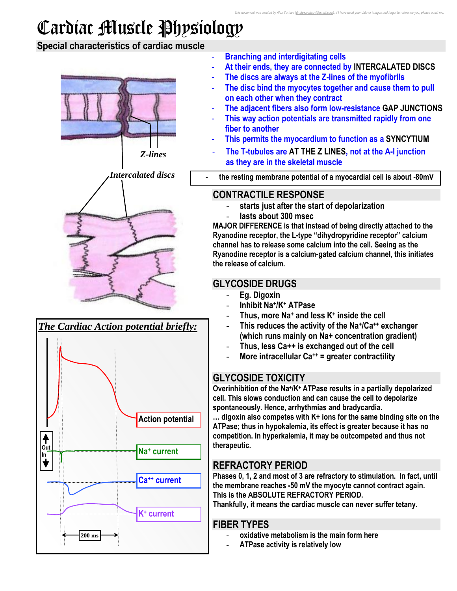# Cardiac Muscle Physiology

# **Special characteristics of cardiac muscle**









- **Branching and interdigitating cells**
- **At their ends, they are connected by INTERCALATED DISCS**

*This document was created by Alex Yartsev (dr.alex.yartsev@gmail.com); if I have used your data or images and forgot to reference you, please email me.* 

- The discs are always at the Z-lines of the myofibrils
- The disc bind the myocytes together and cause them to pull **on each other when they contract**
- **The adjacent fibers also form low-resistance GAP JUNCTIONS**
- **This way action potentials are transmitted rapidly from one fiber to another**
- **This permits the myocardium to function as a SYNCYTIUM**
- *Z-lines* **The T-tubules are AT THE Z LINES, not at the A-I junction as they are in the skeletal muscle**
	- - **the resting membrane potential of a myocardial cell is about -80mV**

### **CONTRACTILE RESPONSE**

-

- **starts just after the start of depolarization**
- **lasts about 300 msec**

**MAJOR DIFFERENCE is that instead of being directly attached to the Ryanodine receptor, the L-type "dihydropyridine receptor" calcium channel has to release some calcium into the cell. Seeing as the Ryanodine receptor is a calcium-gated calcium channel, this initiates the release of calcium.**

# **GLYCOSIDE DRUGS**

- **Eg. Digoxin**
- **Inhibit Na<sup>+</sup> /K<sup>+</sup> ATPase**
- **Thus, more Na<sup>+</sup> and less K<sup>+</sup> inside the cell**
- **This reduces the activity of the Na<sup>+</sup> /Ca++ exchanger (which runs mainly on Na+ concentration gradient)**
- **Thus, less Ca++ is exchanged out of the cell**
- **More intracellular Ca++ = greater contractility**

# **GLYCOSIDE TOXICITY**

**Overinhibition of the Na<sup>+</sup> /K<sup>+</sup> ATPase results in a partially depolarized cell. This slows conduction and can cause the cell to depolarize spontaneously. Hence, arrhythmias and bradycardia.**

**… digoxin also competes with K+ ions for the same binding site on the ATPase; thus in hypokalemia, its effect is greater because it has no competition. In hyperkalemia, it may be outcompeted and thus not therapeutic.**

## **REFRACTORY PERIOD**

**Phases 0, 1, 2 and most of 3 are refractory to stimulation. In fact, until the membrane reaches -50 mV the myocyte cannot contract again. This is the ABSOLUTE REFRACTORY PERIOD.**

**Thankfully, it means the cardiac muscle can never suffer tetany.**

# **FIBER TYPES**

- **oxidative metabolism is the main form here**
- **ATPase activity is relatively low**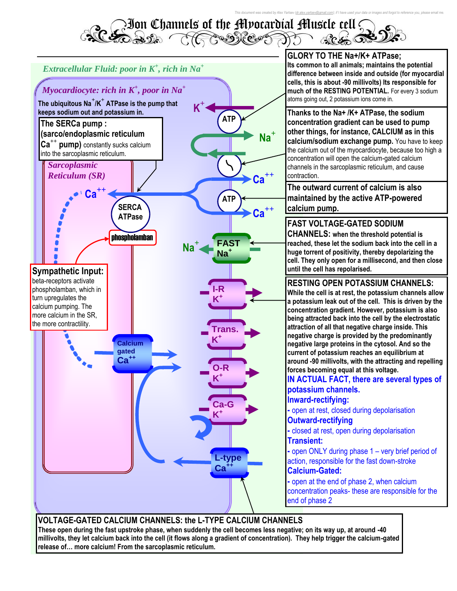**THE ION OF THE INC.** Ion Channels of the Myocardial Muscle cell

*This document was created by Alex Yartsev (dr.alex.yartsev@gmail.com); if I have used your data or images and forgot to reference you, please email me.* 



#### **These open during the fast upstroke phase, when suddenly the cell becomes less negative; on its way up, at around -40 millivolts, they let calcium back into the cell (it flows along a gradient of concentration). They help trigger the calcium-gated release of… more calcium! From the sarcoplasmic reticulum.**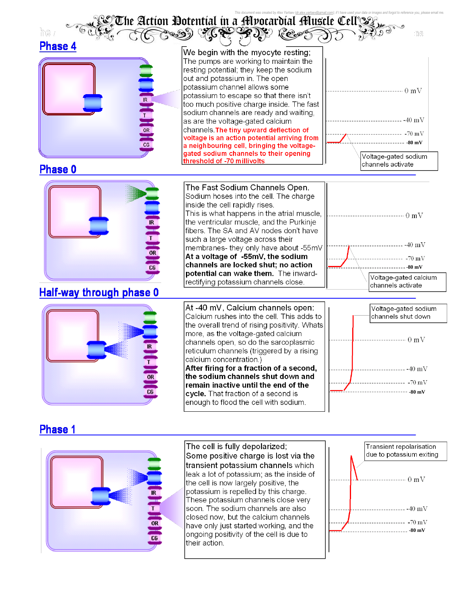



Some positive charge is lost via the transient potassium channels which leak a lot of potassium; as the inside of the cell is now largely positive, the potassium is repelled by this charge. These potassium channels close very soon. The sodium channels are also closed now, but the calcium channels have only just started working, and the ongoing positivity of the cell is due to their action.

**-80 mV**

 $------ -70$  mV

 $------0$  mV

 $\cdots$  ------- -40 mV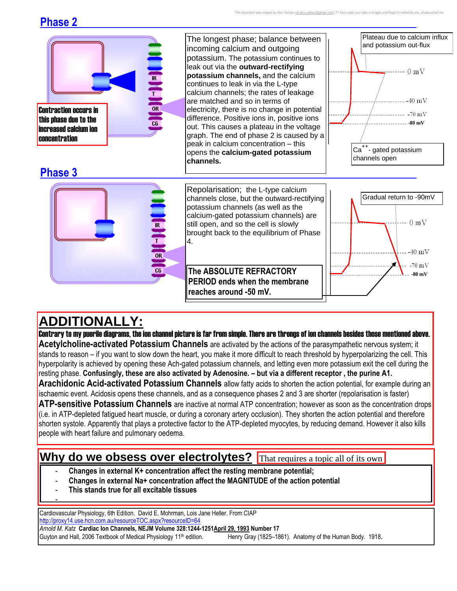*This document was created by Alex Yartsev (dr.alex.yartsev@gmail.com); if I have used your data or images and forgot to reference you, please email me.* 

# **Phase 2**



# **ADDITIONALLY:**

Contrary to my puerile diagrams, the ion channel picture is far from simple. There are throngs of ion channels besides those mentioned above. **Acetylcholine-activated Potassium Channels** are activated by the actions of the parasympathetic nervous system; it stands to reason – if you want to slow down the heart, you make it more difficult to reach threshold by hyperpolarizing the cell. This hyperpolarity is achieved by opening these Ach-gated potassium channels, and letting even more potassium exit the cell during the resting phase. **Confusingly, these are also activated by Adenosine. – but via a different receptor , the purine A1. Arachidonic Acid-activated Potassium Channels** allow fatty acids to shorten the action potential, for example during an ischaemic event. Acidosis opens these channels, and as a consequence phases 2 and 3 are shorter (repolarisation is faster)

**ATP-sensitive Potassium Channels** are inactive at normal ATP concentration; however as soon as the concentration drops (i.e. in ATP-depleted fatigued heart muscle, or during a coronary artery occlusion). They shorten the action potential and therefore shorten systole. Apparently that plays a protective factor to the ATP-depleted myocytes, by reducing demand. However it also kills people with heart failure and pulmonary oedema.

# **Why do we obsess over electrolytes?** That requires a topic all of its own

- **The Suppress and Suppress and Statemary conduction affect the resting membrane potential; Changes in external K+ concentration affect the resting membrane potential;**
- **depress the sinon external Na+ concentration affect the MAGNITUDE of the action potential**
- **This stands true for all excitable tissues Too little magnesium is also somehow arrhythmogenic (especially together with low potassium) – but nobody knows why.** -

Cardiovascular Physiology, 6th Edition. David E. Mohrman, Lois Jane Heller. From CIAP http://proxy14.use.hcn.com.au/resourceTOC.aspx?resourceID=64

*Arnold M. Katz* **Cardiac Ion Channels, NEJM Volume 328:1244-1251April 29, 1993 Number 17** Guyton and Hall, 2006 Textbook of Medical Physiology 11<sup>th</sup> edition. Henry Gray (1825-1861). Anatomy of the Human Body. 1918.